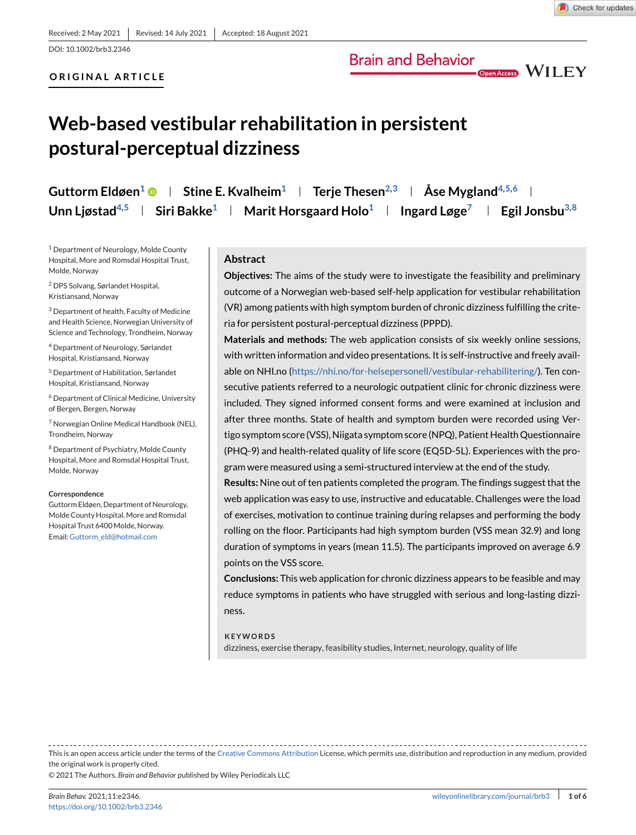DOI: 10.1002/brb3.2346

#### **ORIGINAL ARTICLE**

## **Brain and Behavior**

Open Access WILEY

# **Web-based vestibular rehabilitation in persistent postural-perceptual dizziness**

| Guttorm Eldøen <sup>1</sup> $\bullet$   Stine E. Kvalheim <sup>1</sup>   Terje Thesen <sup>2,3</sup>   Åse Mygland <sup>4,5,6</sup>              |  |  |
|--------------------------------------------------------------------------------------------------------------------------------------------------|--|--|
| Unn Ljøstad <sup>4,5</sup>   Siri Bakke <sup>1</sup>   Marit Horsgaard Holo <sup>1</sup>   Ingard Løge <sup>7</sup>   Egil Jonsbu <sup>3,8</sup> |  |  |

<sup>1</sup> Department of Neurology, Molde County Hospital, More and Romsdal Hospital Trust, Molde, Norway

<sup>2</sup> DPS Solvang, Sørlandet Hospital, Kristiansand, Norway

<sup>3</sup> Department of health, Faculty of Medicine and Health Science, Norwegian University of Science and Technology, Trondheim, Norway

<sup>4</sup> Department of Neurology, Sørlandet Hospital, Kristiansand, Norway

<sup>5</sup> Department of Habilitation, Sørlandet Hospital, Kristiansand, Norway

<sup>6</sup> Department of Clinical Medicine, University of Bergen, Bergen, Norway

<sup>7</sup> Norwegian Online Medical Handbook (NEL), Trondheim, Norway

<sup>8</sup> Department of Psychiatry, Molde County Hospital, More and Romsdal Hospital Trust, Molde, Norway

#### **Correspondence**

Guttorm Eldøen, Department of Neurology, Molde County Hospital, More and Romsdal Hospital Trust 6400 Molde, Norway. Email: [Guttorm\\_eld@hotmail.com](mailto:Guttorm_eld@hotmail.com)

#### **Abstract**

**Objectives:** The aims of the study were to investigate the feasibility and preliminary outcome of a Norwegian web-based self-help application for vestibular rehabilitation (VR) among patients with high symptom burden of chronic dizziness fulfilling the criteria for persistent postural-perceptual dizziness (PPPD).

**Materials and methods:** The web application consists of six weekly online sessions, with written information and video presentations. It is self-instructive and freely available on NHI.no [\(https://nhi.no/for-helsepersonell/vestibular-rehabilitering/\)](https://nhi.no/for-helsepersonell/vestibular-rehabilitering/). Ten consecutive patients referred to a neurologic outpatient clinic for chronic dizziness were included. They signed informed consent forms and were examined at inclusion and after three months. State of health and symptom burden were recorded using Vertigo symptom score (VSS), Niigata symptom score (NPQ), Patient Health Questionnaire (PHQ-9) and health-related quality of life score (EQ5D-5L). Experiences with the program were measured using a semi-structured interview at the end of the study.

**Results:** Nine out of ten patients completed the program. The findings suggest that the web application was easy to use, instructive and educatable. Challenges were the load of exercises, motivation to continue training during relapses and performing the body rolling on the floor. Participants had high symptom burden (VSS mean 32.9) and long duration of symptoms in years (mean 11.5). The participants improved on average 6.9 points on the VSS score.

**Conclusions:** This web application for chronic dizziness appears to be feasible and may reduce symptoms in patients who have struggled with serious and long-lasting dizziness.

#### **KEYWORDS**

dizziness, exercise therapy, feasibility studies, Internet, neurology, quality of life

This is an open access article under the terms of the [Creative Commons Attribution](http://creativecommons.org/licenses/by/4.0/) License, which permits use, distribution and reproduction in any medium, provided the original work is properly cited.

© 2021 The Authors. *Brain and Behavior* published by Wiley Periodicals LLC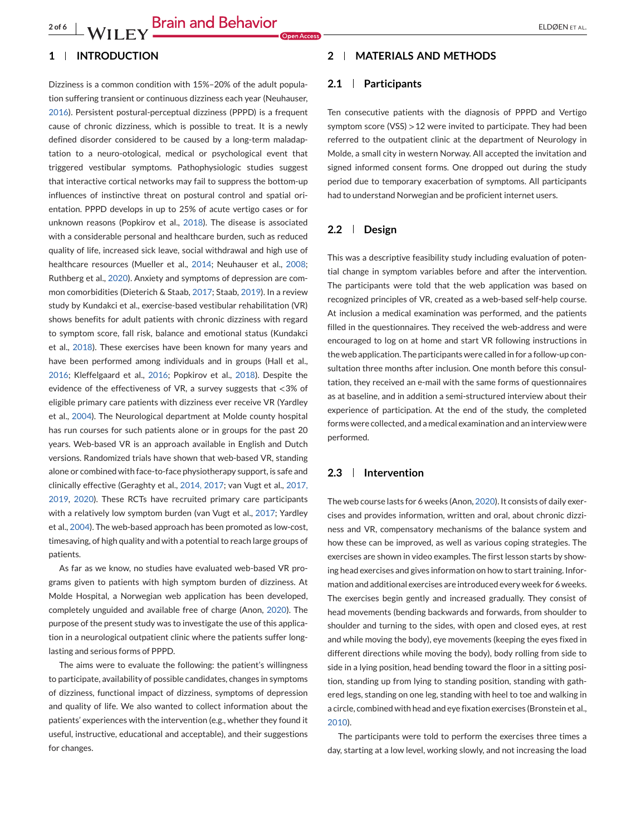#### **1 INTRODUCTION**

Dizziness is a common condition with 15%–20% of the adult population suffering transient or continuous dizziness each year (Neuhauser, [2016\)](#page-5-0). Persistent postural-perceptual dizziness (PPPD) is a frequent cause of chronic dizziness, which is possible to treat. It is a newly defined disorder considered to be caused by a long-term maladaptation to a neuro-otological, medical or psychological event that triggered vestibular symptoms. Pathophysiologic studies suggest that interactive cortical networks may fail to suppress the bottom-up influences of instinctive threat on postural control and spatial orientation. PPPD develops in up to 25% of acute vertigo cases or for unknown reasons (Popkirov et al., [2018\)](#page-5-0). The disease is associated with a considerable personal and healthcare burden, such as reduced quality of life, increased sick leave, social withdrawal and high use of healthcare resources (Mueller et al., [2014;](#page-5-0) Neuhauser et al., [2008;](#page-5-0) Ruthberg et al., [2020\)](#page-5-0). Anxiety and symptoms of depression are common comorbidities (Dieterich & Staab, [2017;](#page-4-0) Staab, [2019\)](#page-5-0). In a review study by Kundakci et al., exercise-based vestibular rehabilitation (VR) shows benefits for adult patients with chronic dizziness with regard to symptom score, fall risk, balance and emotional status (Kundakci et al., [2018\)](#page-5-0). These exercises have been known for many years and have been performed among individuals and in groups (Hall et al., [2016;](#page-4-0) Kleffelgaard et al., [2016;](#page-4-0) Popkirov et al., [2018\)](#page-5-0). Despite the evidence of the effectiveness of VR, a survey suggests that <3% of eligible primary care patients with dizziness ever receive VR (Yardley et al., [2004\)](#page-5-0). The Neurological department at Molde county hospital has run courses for such patients alone or in groups for the past 20 years. Web-based VR is an approach available in English and Dutch versions. Randomized trials have shown that web-based VR, standing alone or combined with face-to-face physiotherapy support, is safe and clinically effective (Geraghty et al., [2014, 2017;](#page-4-0) van Vugt et al., [2017,](#page-5-0) [2019,](#page-5-0) [2020\)](#page-5-0). These RCTs have recruited primary care participants with a relatively low symptom burden (van Vugt et al., [2017;](#page-5-0) Yardley et al., [2004\)](#page-5-0). The web-based approach has been promoted as low-cost, timesaving, of high quality and with a potential to reach large groups of patients.

As far as we know, no studies have evaluated web-based VR programs given to patients with high symptom burden of dizziness. At Molde Hospital, a Norwegian web application has been developed, completely unguided and available free of charge (Anon, [2020\)](#page-4-0). The purpose of the present study was to investigate the use of this application in a neurological outpatient clinic where the patients suffer longlasting and serious forms of PPPD.

The aims were to evaluate the following: the patient's willingness to participate, availability of possible candidates, changes in symptoms of dizziness, functional impact of dizziness, symptoms of depression and quality of life. We also wanted to collect information about the patients' experiences with the intervention (e.g., whether they found it useful, instructive, educational and acceptable), and their suggestions for changes.

#### **2 MATERIALS AND METHODS**

#### **2.1 Participants**

Ten consecutive patients with the diagnosis of PPPD and Vertigo symptom score (VSS) >12 were invited to participate. They had been referred to the outpatient clinic at the department of Neurology in Molde, a small city in western Norway. All accepted the invitation and signed informed consent forms. One dropped out during the study period due to temporary exacerbation of symptoms. All participants had to understand Norwegian and be proficient internet users.

#### **2.2 Design**

This was a descriptive feasibility study including evaluation of potential change in symptom variables before and after the intervention. The participants were told that the web application was based on recognized principles of VR, created as a web-based self-help course. At inclusion a medical examination was performed, and the patients filled in the questionnaires. They received the web-address and were encouraged to log on at home and start VR following instructions in the web application. The participants were called in for a follow-up consultation three months after inclusion. One month before this consultation, they received an e-mail with the same forms of questionnaires as at baseline, and in addition a semi-structured interview about their experience of participation. At the end of the study, the completed forms were collected, and a medical examination and an interview were performed.

#### **2.3 Intervention**

The web course lasts for 6 weeks (Anon, [2020\)](#page-4-0). It consists of daily exercises and provides information, written and oral, about chronic dizziness and VR, compensatory mechanisms of the balance system and how these can be improved, as well as various coping strategies. The exercises are shown in video examples. The first lesson starts by showing head exercises and gives information on how to start training. Information and additional exercises are introduced every week for 6 weeks. The exercises begin gently and increased gradually. They consist of head movements (bending backwards and forwards, from shoulder to shoulder and turning to the sides, with open and closed eyes, at rest and while moving the body), eye movements (keeping the eyes fixed in different directions while moving the body), body rolling from side to side in a lying position, head bending toward the floor in a sitting position, standing up from lying to standing position, standing with gathered legs, standing on one leg, standing with heel to toe and walking in a circle, combined with head and eye fixation exercises (Bronstein et al., [2010\)](#page-4-0).

The participants were told to perform the exercises three times a day, starting at a low level, working slowly, and not increasing the load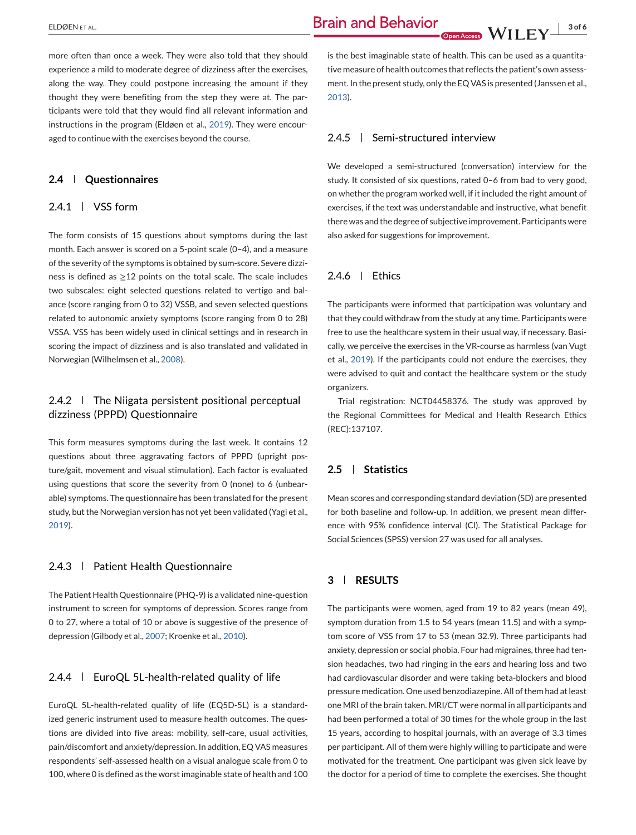more often than once a week. They were also told that they should experience a mild to moderate degree of dizziness after the exercises, along the way. They could postpone increasing the amount if they thought they were benefiting from the step they were at. The participants were told that they would find all relevant information and instructions in the program (Eldøen et al., [2019\)](#page-4-0). They were encouraged to continue with the exercises beyond the course.

#### **2.4 Questionnaires**

### 2.4.1 | VSS form

The form consists of 15 questions about symptoms during the last month. Each answer is scored on a 5-point scale (0–4), and a measure of the severity of the symptoms is obtained by sum-score. Severe dizziness is defined as  $\geq$ 12 points on the total scale. The scale includes two subscales: eight selected questions related to vertigo and balance (score ranging from 0 to 32) VSSB, and seven selected questions related to autonomic anxiety symptoms (score ranging from 0 to 28) VSSA. VSS has been widely used in clinical settings and in research in scoring the impact of dizziness and is also translated and validated in Norwegian (Wilhelmsen et al., [2008\)](#page-5-0).

## 2.4.2 | The Niigata persistent positional perceptual dizziness (PPPD) Questionnaire

This form measures symptoms during the last week. It contains 12 questions about three aggravating factors of PPPD (upright posture/gait, movement and visual stimulation). Each factor is evaluated using questions that score the severity from 0 (none) to 6 (unbearable) symptoms. The questionnaire has been translated for the present study, but the Norwegian version has not yet been validated (Yagi et al., [2019\)](#page-5-0).

## 2.4.3 | Patient Health Questionnaire

The Patient Health Questionnaire (PHQ-9) is a validated nine-question instrument to screen for symptoms of depression. Scores range from 0 to 27, where a total of 10 or above is suggestive of the presence of depression (Gilbody et al., [2007;](#page-4-0) Kroenke et al., [2010\)](#page-5-0).

### $2.4.4$  | EuroQL 5L-health-related quality of life

EuroQL 5L-health-related quality of life (EQ5D-5L) is a standardized generic instrument used to measure health outcomes. The questions are divided into five areas: mobility, self-care, usual activities, pain/discomfort and anxiety/depression. In addition, EQ VAS measures respondents' self-assessed health on a visual analogue scale from 0 to 100, where 0 is defined as the worst imaginable state of health and 100

is the best imaginable state of health. This can be used as a quantitative measure of health outcomes that reflects the patient's own assessment. In the present study, only the EQ VAS is presented (Janssen et al., [2013\)](#page-4-0).

#### 2.4.5 Semi-structured interview

We developed a semi-structured (conversation) interview for the study. It consisted of six questions, rated 0–6 from bad to very good, on whether the program worked well, if it included the right amount of exercises, if the text was understandable and instructive, what benefit there was and the degree of subjective improvement. Participants were also asked for suggestions for improvement.

#### $246$  | Ethics

The participants were informed that participation was voluntary and that they could withdraw from the study at any time. Participants were free to use the healthcare system in their usual way, if necessary. Basically, we perceive the exercises in the VR-course as harmless (van Vugt et al., [2019\)](#page-5-0). If the participants could not endure the exercises, they were advised to quit and contact the healthcare system or the study organizers.

Trial registration: NCT04458376. The study was approved by the Regional Committees for Medical and Health Research Ethics (REC):137107.

#### **2.5 Statistics**

Mean scores and corresponding standard deviation (SD) are presented for both baseline and follow-up. In addition, we present mean difference with 95% confidence interval (Cl). The Statistical Package for Social Sciences (SPSS) version 27 was used for all analyses.

### **3 RESULTS**

The participants were women, aged from 19 to 82 years (mean 49), symptom duration from 1.5 to 54 years (mean 11.5) and with a symptom score of VSS from 17 to 53 (mean 32.9). Three participants had anxiety, depression or social phobia. Four had migraines, three had tension headaches, two had ringing in the ears and hearing loss and two had cardiovascular disorder and were taking beta-blockers and blood pressure medication. One used benzodiazepine. All of them had at least one MRI of the brain taken. MRI/CT were normal in all participants and had been performed a total of 30 times for the whole group in the last 15 years, according to hospital journals, with an average of 3.3 times per participant. All of them were highly willing to participate and were motivated for the treatment. One participant was given sick leave by the doctor for a period of time to complete the exercises. She thought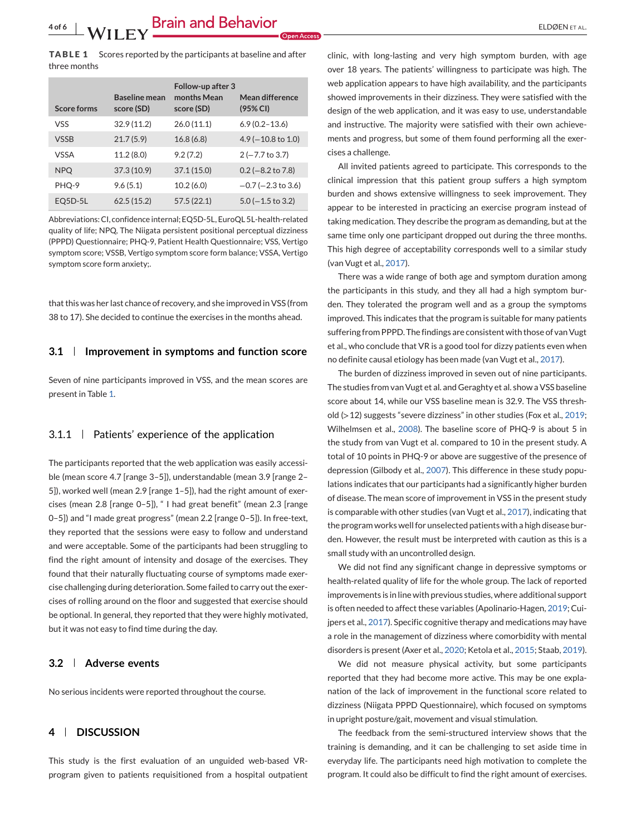**TABLE 1** Scores reported by the participants at baseline and after three months

| <b>Score forms</b> | <b>Baseline mean</b><br>score (SD) | Follow-up after 3<br>months Mean<br>score (SD) | Mean difference<br>(95% CI)  |
|--------------------|------------------------------------|------------------------------------------------|------------------------------|
| <b>VSS</b>         | 32.9(11.2)                         | 26.0(11.1)                                     | $6.9(0.2 - 13.6)$            |
| <b>VSSB</b>        | 21.7(5.9)                          | 16.8(6.8)                                      | $4.9(-10.8 \text{ to } 1.0)$ |
| <b>VSSA</b>        | 11.2(8.0)                          | 9.2(7.2)                                       | $2 (-7.7 to 3.7)$            |
| <b>NPQ</b>         | 37.3(10.9)                         | 37.1(15.0)                                     | $0.2$ (-8.2 to 7.8)          |
| PHO-9              | 9.6(5.1)                           | 10.2(6.0)                                      | $-0.7$ ( $-2.3$ to 3.6)      |
| $EQ5D-5L$          | 62.5(15.2)                         | 57.5(22.1)                                     | $5.0$ (-1.5 to 3.2)          |

Abbreviations: CI, confidence internal; EQ5D-5L, EuroQL 5L-health-related quality of life; NPQ, The Niigata persistent positional perceptual dizziness (PPPD) Questionnaire; PHQ-9, Patient Health Questionnaire; VSS, Vertigo symptom score; VSSB, Vertigo symptom score form balance; VSSA, Vertigo symptom score form anxiety;.

that this was her last chance of recovery, and she improved in VSS (from 38 to 17). She decided to continue the exercises in the months ahead.

#### **3.1 Improvement in symptoms and function score**

Seven of nine participants improved in VSS, and the mean scores are present in Table 1.

#### 3.1.1 Patients' experience of the application

The participants reported that the web application was easily accessible (mean score 4.7 [range 3–5]), understandable (mean 3.9 [range 2– 5]), worked well (mean 2.9 [range 1–5]), had the right amount of exercises (mean 2.8 [range 0–5]), " I had great benefit" (mean 2.3 [range 0–5]) and "I made great progress" (mean 2.2 [range 0–5]). In free-text, they reported that the sessions were easy to follow and understand and were acceptable. Some of the participants had been struggling to find the right amount of intensity and dosage of the exercises. They found that their naturally fluctuating course of symptoms made exercise challenging during deterioration. Some failed to carry out the exercises of rolling around on the floor and suggested that exercise should be optional. In general, they reported that they were highly motivated, but it was not easy to find time during the day.

#### **3.2 Adverse events**

No serious incidents were reported throughout the course.

#### **4 DISCUSSION**

This study is the first evaluation of an unguided web-based VRprogram given to patients requisitioned from a hospital outpatient clinic, with long-lasting and very high symptom burden, with age over 18 years. The patients' willingness to participate was high. The web application appears to have high availability, and the participants showed improvements in their dizziness. They were satisfied with the design of the web application, and it was easy to use, understandable and instructive. The majority were satisfied with their own achievements and progress, but some of them found performing all the exercises a challenge.

All invited patients agreed to participate. This corresponds to the clinical impression that this patient group suffers a high symptom burden and shows extensive willingness to seek improvement. They appear to be interested in practicing an exercise program instead of taking medication. They describe the program as demanding, but at the same time only one participant dropped out during the three months. This high degree of acceptability corresponds well to a similar study (van Vugt et al., [2017\)](#page-5-0).

There was a wide range of both age and symptom duration among the participants in this study, and they all had a high symptom burden. They tolerated the program well and as a group the symptoms improved. This indicates that the program is suitable for many patients suffering from PPPD. The findings are consistent with those of van Vugt et al., who conclude that VR is a good tool for dizzy patients even when no definite causal etiology has been made (van Vugt et al., [2017\)](#page-5-0).

The burden of dizziness improved in seven out of nine participants. The studies from van Vugt et al. and Geraghty et al. show a VSS baseline score about 14, while our VSS baseline mean is 32.9. The VSS threshold (>12) suggests "severe dizziness" in other studies (Fox et al., [2019;](#page-4-0) Wilhelmsen et al., [2008\)](#page-5-0). The baseline score of PHQ-9 is about 5 in the study from van Vugt et al. compared to 10 in the present study. A total of 10 points in PHQ-9 or above are suggestive of the presence of depression (Gilbody et al., [2007\)](#page-4-0). This difference in these study populations indicates that our participants had a significantly higher burden of disease. The mean score of improvement in VSS in the present study is comparable with other studies (van Vugt et al., [2017\)](#page-5-0), indicating that the program works well for unselected patients with a high disease burden. However, the result must be interpreted with caution as this is a small study with an uncontrolled design.

We did not find any significant change in depressive symptoms or health-related quality of life for the whole group. The lack of reported improvements is in line with previous studies, where additional support is often needed to affect these variables (Apolinario-Hagen, [2019;](#page-4-0) Cuijpers et al., [2017\)](#page-4-0). Specific cognitive therapy and medications may have a role in the management of dizziness where comorbidity with mental disorders is present (Axer et al., [2020;](#page-4-0) Ketola et al., [2015;](#page-4-0) Staab, [2019\)](#page-5-0).

We did not measure physical activity, but some participants reported that they had become more active. This may be one explanation of the lack of improvement in the functional score related to dizziness (Niigata PPPD Questionnaire), which focused on symptoms in upright posture/gait, movement and visual stimulation.

The feedback from the semi-structured interview shows that the training is demanding, and it can be challenging to set aside time in everyday life. The participants need high motivation to complete the program. It could also be difficult to find the right amount of exercises.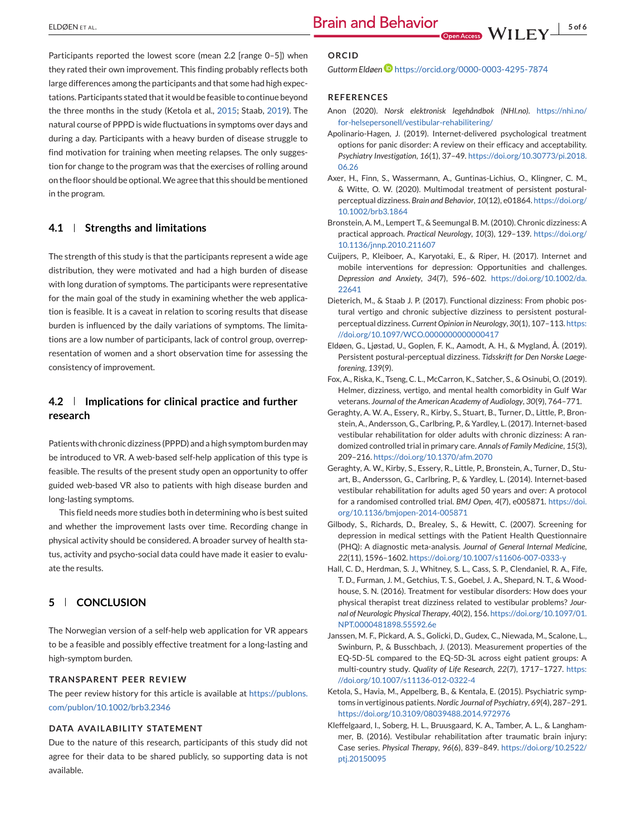<span id="page-4-0"></span>Participants reported the lowest score (mean 2.2 [range 0–5]) when they rated their own improvement. This finding probably reflects both large differences among the participants and that some had high expectations. Participants stated that it would be feasible to continue beyond the three months in the study (Ketola et al., 2015; Staab, [2019\)](#page-5-0). The natural course of PPPD is wide fluctuations in symptoms over days and during a day. Participants with a heavy burden of disease struggle to find motivation for training when meeting relapses. The only suggestion for change to the program was that the exercises of rolling around on the floor should be optional.We agree that this should be mentioned in the program.

#### **4.1 Strengths and limitations**

The strength of this study is that the participants represent a wide age distribution, they were motivated and had a high burden of disease with long duration of symptoms. The participants were representative for the main goal of the study in examining whether the web application is feasible. It is a caveat in relation to scoring results that disease burden is influenced by the daily variations of symptoms. The limitations are a low number of participants, lack of control group, overrepresentation of women and a short observation time for assessing the consistency of improvement.

## **4.2 Implications for clinical practice and further research**

Patients with chronic dizziness (PPPD) and a high symptom burden may be introduced to VR. A web-based self-help application of this type is feasible. The results of the present study open an opportunity to offer guided web-based VR also to patients with high disease burden and long-lasting symptoms.

This field needs more studies both in determining who is best suited and whether the improvement lasts over time. Recording change in physical activity should be considered. A broader survey of health status, activity and psycho-social data could have made it easier to evaluate the results.

#### **5 CONCLUSION**

The Norwegian version of a self-help web application for VR appears to be a feasible and possibly effective treatment for a long-lasting and high-symptom burden.

#### **TRANSPARENT PEER REVIEW**

The peer review history for this article is available at [https://publons.](https://publons.com/publon/10.1002/brb3.2346) [com/publon/10.1002/brb3.2346](https://publons.com/publon/10.1002/brb3.2346)

#### **DATA AVAILABILITY STATEMENT**

Due to the nature of this research, participants of this study did not agree for their data to be shared publicly, so supporting data is not available.

#### **ORCID**

*Guttorm Eldøe[n](https://orcid.org/0000-0003-4295-7874)* <https://orcid.org/0000-0003-4295-7874>

#### **REFERENCES**

- Anon (2020). *Norsk elektronisk legehåndbok (NHI.no)*. [https://nhi.no/](https://nhi.no/for-helsepersonell/vestibular-rehabilitering/) [for-helsepersonell/vestibular-rehabilitering/](https://nhi.no/for-helsepersonell/vestibular-rehabilitering/)
- Apolinario-Hagen, J. (2019). Internet-delivered psychological treatment options for panic disorder: A review on their efficacy and acceptability. *Psychiatry Investigation*, *16*(1), 37–49. [https://doi.org/10.30773/pi.2018.](https://doi.org/10.30773/pi.2018.06.26) [06.26](https://doi.org/10.30773/pi.2018.06.26)
- Axer, H., Finn, S., Wassermann, A., Guntinas-Lichius, O., Klingner, C. M., & Witte, O. W. (2020). Multimodal treatment of persistent posturalperceptual dizziness. *Brain and Behavior*, *10*(12), e01864. [https://doi.org/](https://doi.org/10.1002/brb3.1864) [10.1002/brb3.1864](https://doi.org/10.1002/brb3.1864)
- Bronstein, A. M., Lempert T., & Seemungal B. M. (2010). Chronic dizziness: A practical approach. *Practical Neurology*, *10*(3), 129–139. [https://doi.org/](https://doi.org/10.1136/jnnp.2010.211607) [10.1136/jnnp.2010.211607](https://doi.org/10.1136/jnnp.2010.211607)
- Cuijpers, P., Kleiboer, A., Karyotaki, E., & Riper, H. (2017). Internet and mobile interventions for depression: Opportunities and challenges. *Depression and Anxiety*, *34*(7), 596–602. [https://doi.org/10.1002/da.](https://doi.org/10.1002/da.22641) [22641](https://doi.org/10.1002/da.22641)
- Dieterich, M., & Staab J. P. (2017). Functional dizziness: From phobic postural vertigo and chronic subjective dizziness to persistent posturalperceptual dizziness. *Current Opinion in Neurology*, *30*(1), 107–113. [https:](https://doi.org/10.1097/WCO.0000000000000417) [//doi.org/10.1097/WCO.0000000000000417](https://doi.org/10.1097/WCO.0000000000000417)
- Eldøen, G., Ljøstad, U., Goplen, F. K., Aamodt, A. H., & Mygland, Å. (2019). Persistent postural-perceptual dizziness. *Tidsskrift for Den Norske Laegeforening*, *139*(9).
- Fox, A., Riska, K., Tseng, C. L., McCarron, K., Satcher, S., & Osinubi, O. (2019). Helmer, dizziness, vertigo, and mental health comorbidity in Gulf War veterans. *Journal of the American Academy of Audiology*, *30*(9), 764–771.
- Geraghty, A. W. A., Essery, R., Kirby, S., Stuart, B., Turner, D., Little, P., Bronstein, A., Andersson, G., Carlbring, P., & Yardley, L. (2017). Internet-based vestibular rehabilitation for older adults with chronic dizziness: A randomized controlled trial in primary care. *Annals of Family Medicine*, *15*(3), 209–216. <https://doi.org/10.1370/afm.2070>
- Geraghty, A. W., Kirby, S., Essery, R., Little, P., Bronstein, A., Turner, D., Stuart, B., Andersson, G., Carlbring, P., & Yardley, L. (2014). Internet-based vestibular rehabilitation for adults aged 50 years and over: A protocol for a randomised controlled trial. *BMJ Open*, *4*(7), e005871. [https://doi.](https://doi.org/10.1136/bmjopen-2014-005871) [org/10.1136/bmjopen-2014-005871](https://doi.org/10.1136/bmjopen-2014-005871)
- Gilbody, S., Richards, D., Brealey, S., & Hewitt, C. (2007). Screening for depression in medical settings with the Patient Health Questionnaire (PHQ): A diagnostic meta-analysis. *Journal of General Internal Medicine*, *22*(11), 1596–1602. <https://doi.org/10.1007/s11606-007-0333-y>
- Hall, C. D., Herdman, S. J., Whitney, S. L., Cass, S. P., Clendaniel, R. A., Fife, T. D., Furman, J. M., Getchius, T. S., Goebel, J. A., Shepard, N. T., & Woodhouse, S. N. (2016). Treatment for vestibular disorders: How does your physical therapist treat dizziness related to vestibular problems? *Journal of Neurologic Physical Therapy*, *40*(2), 156. [https://doi.org/10.1097/01.](https://doi.org/10.1097/01.NPT.0000481898.55592.6e) [NPT.0000481898.55592.6e](https://doi.org/10.1097/01.NPT.0000481898.55592.6e)
- Janssen, M. F., Pickard, A. S., Golicki, D., Gudex, C., Niewada, M., Scalone, L., Swinburn, P., & Busschbach, J. (2013). Measurement properties of the EQ-5D-5L compared to the EQ-5D-3L across eight patient groups: A multi-country study. *Quality of Life Research*, *22*(7), 1717–1727. [https:](https://doi.org/10.1007/s11136-012-0322-4) [//doi.org/10.1007/s11136-012-0322-4](https://doi.org/10.1007/s11136-012-0322-4)
- Ketola, S., Havia, M., Appelberg, B., & Kentala, E. (2015). Psychiatric symptoms in vertiginous patients.*Nordic Journal of Psychiatry*, *69*(4), 287–291. <https://doi.org/10.3109/08039488.2014.972976>
- Kleffelgaard, I., Soberg, H. L., Bruusgaard, K. A., Tamber, A. L., & Langhammer, B. (2016). Vestibular rehabilitation after traumatic brain injury: Case series. *Physical Therapy*, *96*(6), 839–849. [https://doi.org/10.2522/](https://doi.org/10.2522/ptj.20150095) [ptj.20150095](https://doi.org/10.2522/ptj.20150095)